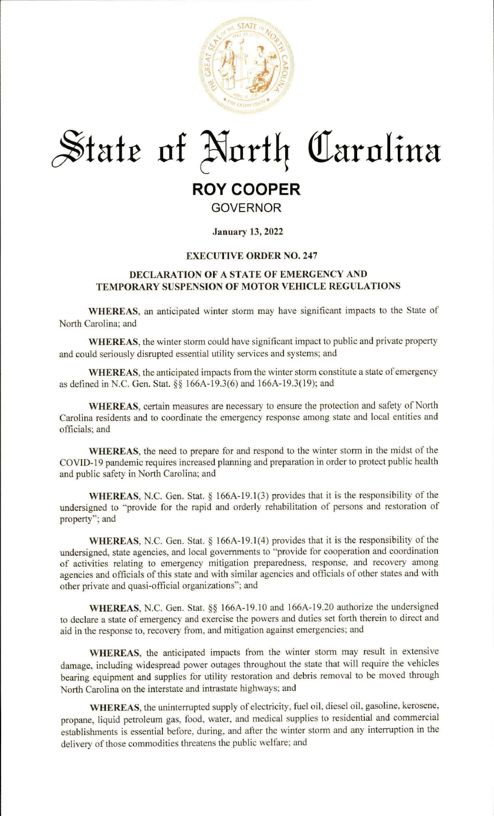

# $~$ **State of North Carolina**

# **ROY COOPER**

**GOVERNOR** 

# **January 13, 2022**

# **EXECUTIVE ORDER NO. 247**

# **DECLARATION OF A STATE OF EMERGENCY AND TEMPORARY SUSPENSION OF MOTOR VEHICLE REGULATIONS**

**WHEREAS,** an anticipated winter storm may have significant impacts to the State of North Carolina; and

**WHEREAS,** the winter storm could have significant impact to public and private property and could seriously disrupted essential utility services and systems; and

**WHEREAS,** the anticipated impacts from the winter storm constitute a state of emergency as defined in N.C. Gen. Stat. §§ 166A-19.3(6) and 166A-19.3(19); and

**WHEREAS,** certain measures are necessary to ensure the protection and safety of North Carolina residents and to coordinate the emergency response among state and local entities and officials; and

**WHEREAS,** the need to prepare for and respond to the winter storm in the midst of the COVID-19 pandemic requires increased planning and preparation in order to protect public health and public safety in North Carolina; and

**WHEREAS, N.C.** Gen. Stat. § 166A-19.1(3) provides that it is the responsibility of the undersigned to "provide for the rapid and orderly rehabilitation of persons and restoration of property"; and

**WHEREAS,** N.C. Gen. Stat.§ 166A-19.1(4) provides that it is the responsibility of the undersigned, state agencies, and local governments to "provide for cooperation and coordination of activities relating to emergency mitigation preparedness, response, and recovery among agencies and officials of this state and with similar agencies and officials of other states and with other private and quasi-official organizations"; and

**WHEREAS,** N.C. Gen. Stat.§§ [166A-19.10](https://166A-19.10) and [166A-19.20](https://166A-19.20) authorize the undersigned to declare a state of emergency and exercise the powers and duties set forth therein to direct and aid in the response to, recovery from, and mitigation against emergencies; and

**WHEREAS,** the anticipated impacts from the winter storm may result in extensive damage, including widespread power outages throughout the state that will require the vehicles bearing equipment and supplies for utility restoration and debris removal to be moved through North Carolina on the interstate and intrastate highways; and

**WHEREAS,** the uninterrupted supply of electricity, fuel oil, diesel oil, gasoline, kerosene, propane, liquid petroleum gas, food, water, and medical supplies to residential and commercial establishments is essential before, during, and after the winter storm and any interruption in the delivery of those commodities threatens the public welfare; and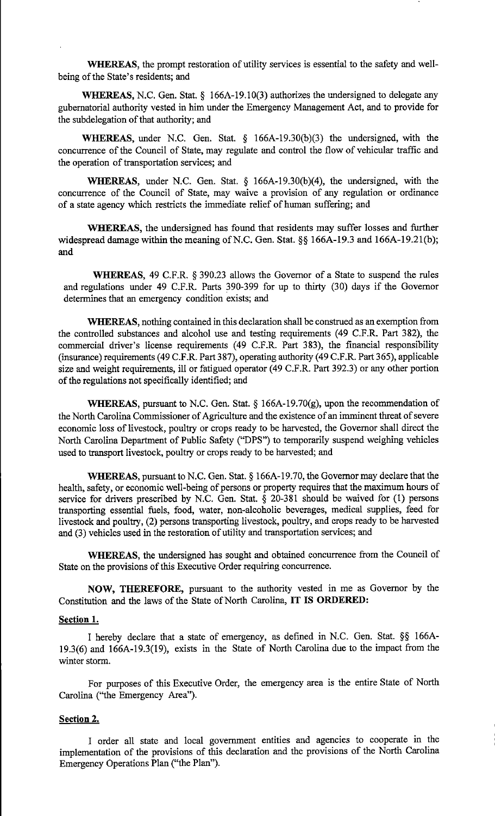**WHEREAS,** the prompt restoration of utility services is essential to the safety and wellbeing of the State's residents; and

**WHEREAS,** N.C. Gen. Stat. § 166A-19.10(3) authorizes the undersigned to delegate any gubernatorial authority vested in him under the Emergency Management Act, and to provide for the subdelegation of that authority; and

**WHEREAS,** under N.C. Gen. Stat. § 166A-19.30(b)(3) the undersigned, with the concurrence of the Council of State, may regulate and control the flow of vehicular traffic and the operation of transportation services; and

**WHEREAS,** under N.C. Gen. Stat. § 166A-19.30(b)(4), the undersigned, with the concurrence of the Council of State, may waive a provision of any regulation or ordinance of a state agency which restricts the immediate relief of human suffering; and

**WHEREAS,** the undersigned has found that residents may suffer losses and further widespread damage within the meaning of N.C. Gen. Stat. §§ 166A-19.3 and 166A-19.21(b); and

**WHEREAS,** 49 C.F.R. § 390.23 allows the Governor of a State to suspend the rules and regulations under 49 C.F.R. Parts 390-399 for up to thirty (30) days if the Governor determines that an emergency condition exists; and

**WHEREAS,** nothing contained in this declaration shall be construed as an exemption from the controlled substances and alcohol use and testing requirements (49 C.F.R. Part 382), the commercial driver's license requirements (49 C.F.R. Part 383), the financial responsibility (insurance) requirements ( 49 C.F.R. Part 3 87), operating authority ( 49 C.F .R. Part 365), applicable size and weight requirements, ill or fatigued operator (49 C.F.R. Part 392.3) or any other portion of the regulations not specifically identified; and

**WHEREAS,** pursuant to N.C. Gen. Stat. § 166A-19.70(g), upon the recommendation of the North Carolina Commissioner of Agriculture and the existence of an imminent threat of severe economic loss of livestock, poultry or crops ready to be harvested, the Governor shall direct the North Carolina Department of Public Safety ("DPS") to temporarily suspend weighing vehicles used to transport livestock, poultry or crops ready to be harvested; and

**WHEREAS,** pursuant to N.C. Gen. Stat.§ [166A-19.70,](https://166A-19.70) the Governor may declare that the health, safety, or economic well-being of persons or property requires that the maximum hours of service for drivers prescribed by N.C. Gen. Stat. § 20-381 should be waived for (1) persons transporting essential fuels, food, water, non-alcoholic beverages, medical supplies, feed for livestock and poultry, (2) persons transporting livestock, poultry, and crops ready to be harvested and (3) vehicles used in the restoration of utility and transportation services; and

**WHEREAS,** the undersigned has sought and obtained concurrence from the Council of State on the provisions of this Executive Order requiring concurrence.

**NOW, THEREFORE,** pursuant to the authority vested in me as Governor by the Constitution and the laws of the State of North Carolina, **IT IS ORDERED:** 

# **Section 1.**

I hereby declare that a state of emergency, as defined in N.C. Gen. Stat. §§ 166A-19.3(6) and 166A-19.3(19), exists in the State of North Carolina due to the impact from the winter storm.

For purposes of this Executive Order, the emergency area is the entire State of North Carolina ("the Emergency Area").

# **Section 2.**

I order all state and local government entities and agencies to cooperate in the implementation of the provisions of this declaration and the provisions of the North Carolina Emergency Operations Plan ("the Plan").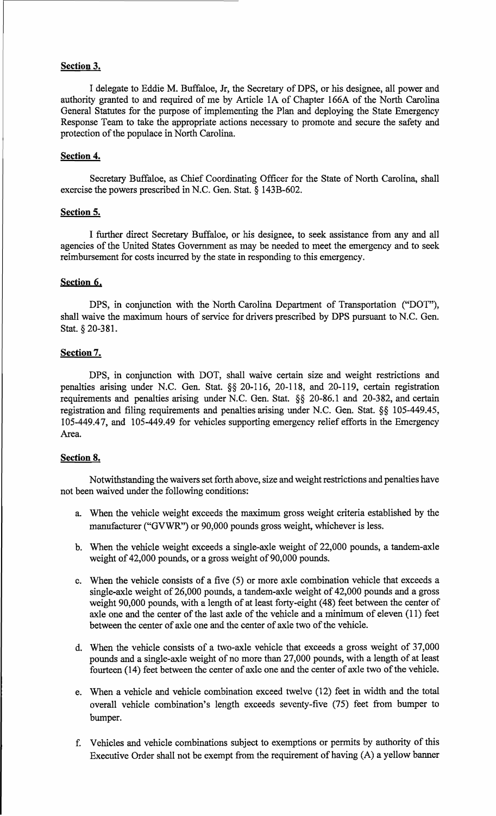#### **Section 3.**

I delegate to Eddie M. Buffaloe, Jr, the Secretary of DPS, or his designee, all power and authority granted to and required of me by Article IA of Chapter 166A of the North Carolina General Statutes for the purpose of implementing the Plan and deploying the State Emergency Response Team to take the appropriate actions necessary to promote and secure the safety and protection of the populace in North Carolina.

#### **Section 4.**

Secretary Buffaloe, as Chief Coordinating Officer for the State of North Carolina, shall exercise the powers prescribed in N.C. Gen. Stat. § 143B-602.

#### **Section 5.**

I further direct Secretary Buffaloe, or his designee, to seek assistance from any and all agencies of the United States Government as may be needed to meet the emergency and to seek reimbursement for costs incurred by the state in responding to this emergency.

#### **Section 6.**

DPS, in conjunction with the North Carolina Department of Transportation ("DOT"), shall waive the maximum hours of service for drivers prescribed by **DPS** pursuant to N.C. Gen. Stat. § 20-381.

#### **Section 7.**

DPS, in conjunction with DOT, shall waive certain size and weight restrictions and penalties arising under N.C. Gen. Stat. §§ 20-116, 20-118, and 20-119, certain registration requirements and penalties arising under N.C. Gen. Stat. §§ 20-86.1 and 20-382, and certain registration and filing requirements and penalties arising under N.C. Gen. Stat. §§ [105-449.45](https://105-449.45), [105-449.4 7](https://105-449.47), and [105-449.49](https://105-449.49) for vehicles supporting emergency relief efforts in the Emergency Area.

#### **Section 8.**

Notwithstanding the waivers set forth above, size and weight restrictions and penalties have not been waived under the following conditions:

- a. When the vehicle weight exceeds the maximum gross weight criteria established by the manufacturer ("GVWR") or 90,000 pounds gross weight, whichever is less.
- b. When the vehicle weight exceeds a single-axle weight of 22,000 pounds, a tandem-axle weight of 42,000 pounds, or a gross weight of 90,000 pounds.
- c. When the vehicle consists of a five (5) or more axle combination vehicle that exceeds a single-axle weight of 26,000 pounds, a tandem-axle weight of 42,000 pounds and a gross weight 90,000 pounds, with a length of at least forty-eight (48) feet between the center of axle one and the center of the last axle of the vehicle and a minimum of eleven (11) feet between the center of axle one and the center of axle two of the vehicle.
- d. When the vehicle consists of a two-axle vehicle that exceeds a gross weight of 37,000 pounds and a single-axle weight of no more than 27,000 pounds, with a length of at least fourteen (14) feet between the center of axle one and the center of axle two of the vehicle.
- e. When a vehicle and vehicle combination exceed twelve (12) feet in width and the total overall vehicle combination's length exceeds seventy-five (75) feet from bumper to bumper.
- f. Vehicles and vehicle combinations subject to exemptions or permits by authority of this Executive Order shall not be exempt from the requirement of having (A) a yellow banner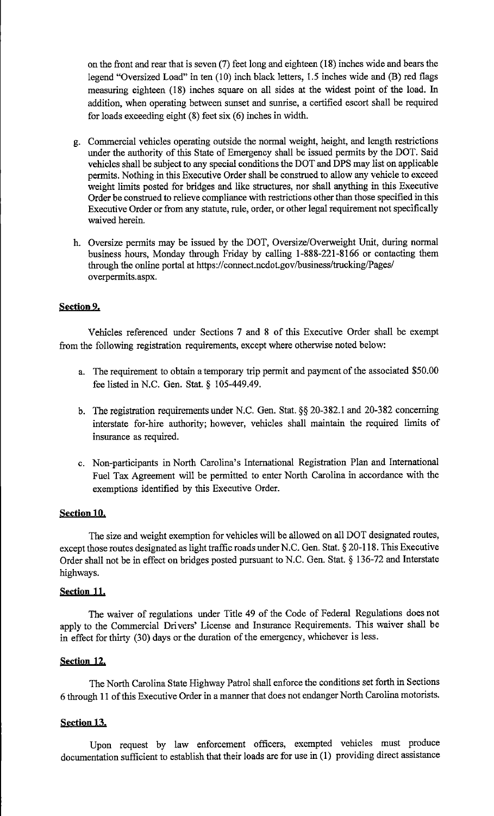on the front and rear that is seven (7) feet long and eighteen (18) inches wide and bears the legend "Oversized Load" in ten (10) inch black letters, 1.5 inches wide and (B) red flags measuring eighteen (18) inches square on all sides at the widest point of the load. In addition, when operating between sunset and sunrise, a certified escort shall be required for loads exceeding eight  $(8)$  feet six  $(6)$  inches in width.

- g. Commercial vehicles operating outside the normal weight, height, and length restrictions under the authority of this State of Emergency shall be issued permits by the DOT. Said vehicles shall be subject to any special conditions the DOT and DPS may list on applicable permits. Nothing in this Executive Order shall be construed to allow any vehicle to exceed weight limits posted for bridges and like structures, nor shall anything in this Executive Order be construed to relieve compliance with restrictions other than those specified in this Executive Order or from any statute, rule, order, or other legal requirement not specifically waived herein.
- h. Oversize permits may be issued by the DOT, Oversize/Overweight Unit, during normal business hours, Monday through Friday by calling 1-888-221-8166 or contacting them through the online portal at<https://connect.ncdot.gov/business/trucking/Pages>/ overpermits.aspx.

# **Section 9.**

Vehicles referenced under Sections 7 and 8 of this Executive Order shall be exempt from the following registration requirements, except where otherwise noted below:

- a. The requirement to obtain a temporary trip permit and payment of the associated \$50.00 fee listed in N.C. Gen. Stat. § [105-449.49.](https://105-449.49)
- b. The registration requirements under N.C. Gen. Stat.§§ 20-382.1 and 20-382 concerning interstate for-hire authority; however, vehicles shall maintain the required limits of insurance as required.
- c. Non-participants in North Carolina's International Registration Plan and International Fuel Tax Agreement will be permitted to enter North Carolina in accordance with the exemptions identified by this Executive Order.

# **Section 10,**

The size and weight exemption for vehicles will be allowed on all DOT designated routes, except those routes designated as light traffic roads under N.C. Gen. Stat. § 20-118. This Executive Order shall not be in effect on bridges posted pursuant to N.C. Gen. Stat. § 136-72 and Interstate highways.

#### **Section 11,**

The waiver of regulations under Title 49 of the Code of Federal Regulations does not apply to the Commercial Drivers' License and Insurance Requirements. This waiver shall be in effect for thirty (30) days or the duration of the emergency, whichever is less.

# **Section 12,**

The North Carolina State Highway Patrol shall enforce the conditions set forth in Sections 6 through 11 of this Executive Order in a manner that does not endanger North Carolina motorists.

# **Section 13.**

Upon request by law enforcement officers, exempted vehicles must produce documentation sufficient to establish that their loads are for use in (I) providing direct assistance